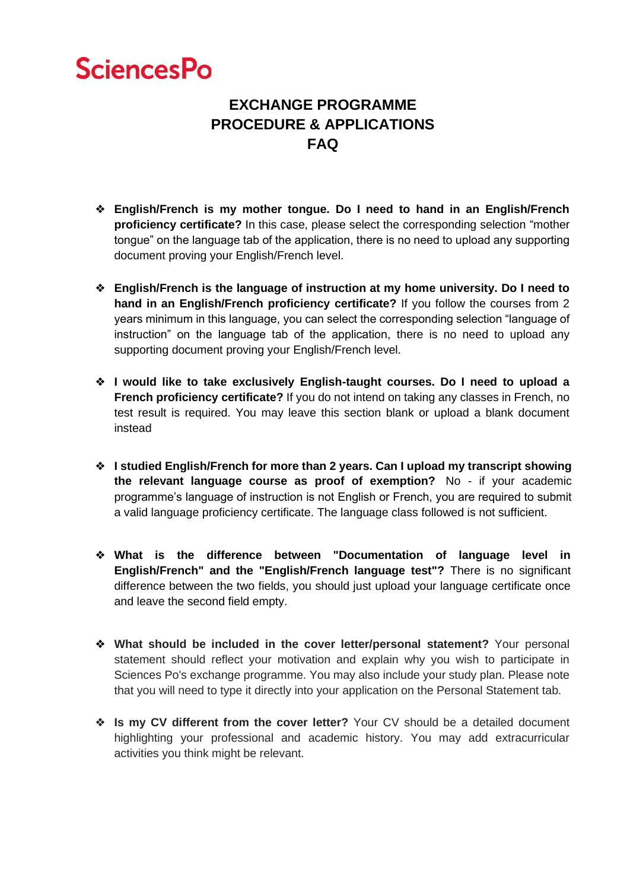## **SciencesPo**

## **EXCHANGE PROGRAMME PROCEDURE & APPLICATIONS FAQ**

- ❖ **English/French is my mother tongue. Do I need to hand in an English/French proficiency certificate?** In this case, please select the corresponding selection "mother tongue" on the language tab of the application, there is no need to upload any supporting document proving your English/French level.
- ❖ **English/French is the language of instruction at my home university. Do I need to hand in an English/French proficiency certificate?** If you follow the courses from 2 years minimum in this language, you can select the corresponding selection "language of instruction" on the language tab of the application, there is no need to upload any supporting document proving your English/French level.
- ❖ **I would like to take exclusively English-taught courses. Do I need to upload a French proficiency certificate?** If you do not intend on taking any classes in French, no test result is required. You may leave this section blank or upload a blank document instead
- ❖ **I studied English/French for more than 2 years. Can I upload my transcript showing the relevant language course as proof of exemption?** No - if your academic programme's language of instruction is not English or French, you are required to submit a valid language proficiency certificate. The language class followed is not sufficient.
- ❖ **What is the difference between "Documentation of language level in English/French" and the "English/French language test"?** There is no significant difference between the two fields, you should just upload your language certificate once and leave the second field empty.
- ❖ **What should be included in the cover letter/personal statement?** Your personal statement should reflect your motivation and explain why you wish to participate in Sciences Po's exchange programme. You may also include your study plan. Please note that you will need to type it directly into your application on the Personal Statement tab.
- ❖ **Is my CV different from the cover letter?** Your CV should be a detailed document highlighting your professional and academic history. You may add extracurricular activities you think might be relevant.